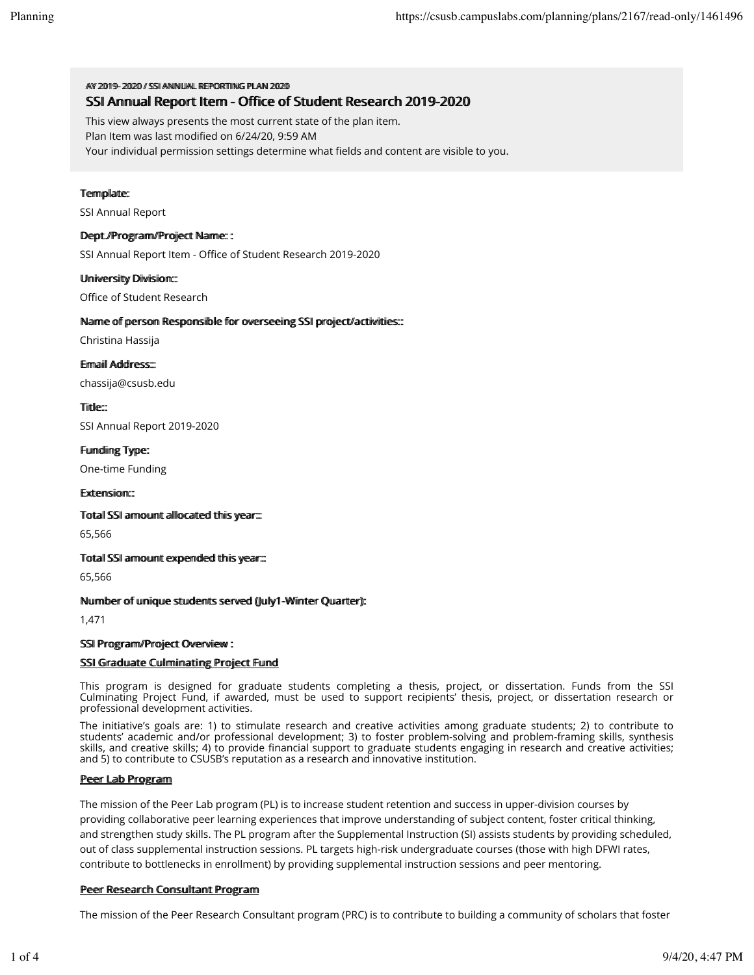AV 20119-2002 // SSIANNIHAI REPORTING PILAN 2020

# SSI Annual Report Item - Office of Student Research 2019-2020

This view always presents the most current state of the plan item.

Plan Item was last modified on 6/24/20, 9:59 AM

Your individual permission settings determine what fields and content are visible to you.

### Termplate:

SSI Annual Report

### Deptt.//Programm//Projject Namme: :

SSI Annual Report Item - Office of Student Research 2019-2020

### Uniiversiity Divisiion::

Office of Student Research

## Name of person Responsible for overseeing SSI project/activities:::

Christina Hassija

Ermaiil Address:::

chassija@csusb.edu

Tiittlle<sup>e</sup>

SSI Annual Report 2019-2020

### Fundiing Type:

One-time Funding

### Extensiion::

Totall SSI armount alllocated thiis year:::

65,566

### Totall SSI armount expended thiis year:::

65,566

### Nummber of umiique students served (Jully1-Wiinter Quarter):

1,471

### SSI Program/Project Overviiew :

### SSI Graduate Cullmiinatiing Project Fund

This program is designed for graduate students completing a thesis, project, or dissertation. Funds from the SSI Culminating Project Fund, if awarded, must be used to support recipients' thesis, project, or dissertation research or professional development activities.

The initiative's goals are: 1) to stimulate research and creative activities among graduate students; 2) to contribute to students' academic and/or professional development; 3) to foster problem-solving and problem-framing skills, synthesis skills, and creative skills; 4) to provide financial support to graduate students engaging in research and creative activities; and 5) to contribute to CSUSB's reputation as a research and innovative institution.

### Peer Lab Program

The mission of the Peer Lab program (PL) is to increase student retention and success in upper-division courses by providing collaborative peer learning experiences that improve understanding of subject content, foster critical thinking, and strengthen study skills. The PL program after the Supplemental Instruction (SI) assists students by providing scheduled, out of class supplemental instruction sessions. PL targets high-risk undergraduate courses (those with high DFWI rates, contribute to bottlenecks in enrollment) by providing supplemental instruction sessions and peer mentoring.

### Peer Research Consulltant Program

The mission of the Peer Research Consultant program (PRC) is to contribute to building a community of scholars that foster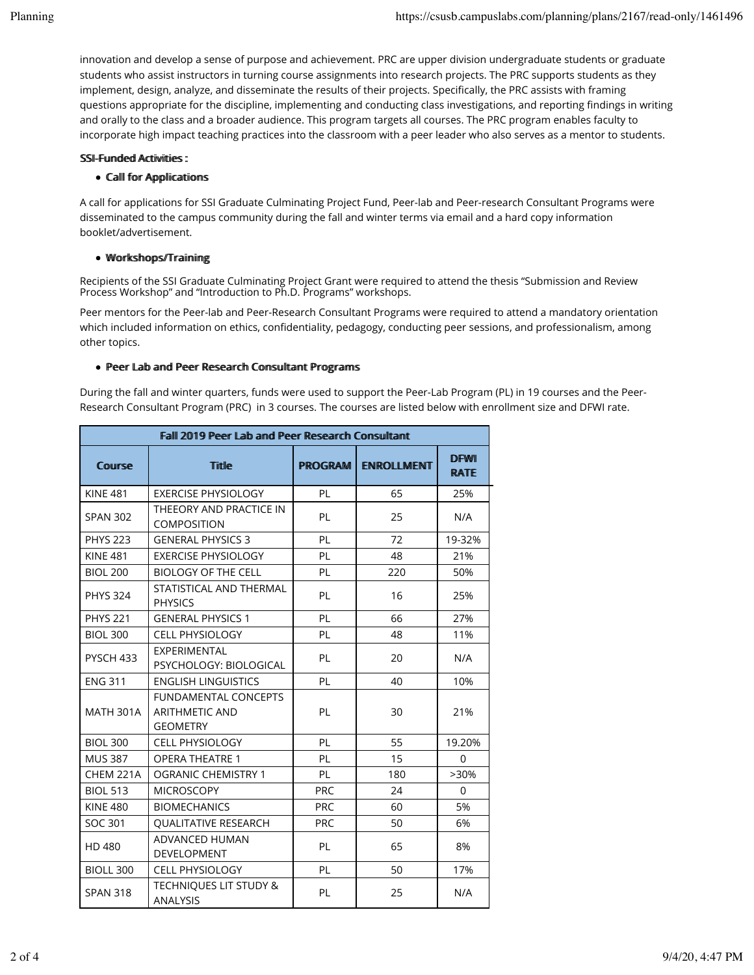innovation and develop a sense of purpose and achievement. PRC are upper division undergraduate students or graduate students who assist instructors in turning course assignments into research projects. The PRC supports students as they implement, design, analyze, and disseminate the results of their projects. Specifically, the PRC assists with framing questions appropriate for the discipline, implementing and conducting class investigations, and reporting findings in writing and orally to the class and a broader audience. This program targets all courses. The PRC program enables faculty to incorporate high impact teaching practices into the classroom with a peer leader who also serves as a mentor to students.

# SSI-Fuunded Actiiviities:

# • Calll for Appliicatiions

A call for applications for SSI Graduate Culminating Project Fund, Peer-lab and Peer-research Consultant Programs were disseminated to the campus community during the fall and winter terms via email and a hard copy information booklet/advertisement.

# $\bullet$  Workshops/Training

Recipients of the SSI Graduate Culminating Project Grant were required to attend the thesis "Submission and Review Process Workshop" and "Introduction to Ph.D. Programs" workshops.

Peer mentors for the Peer-lab and Peer-Research Consultant Programs were required to attend a mandatory orientation which included information on ethics, confidentiality, pedagogy, conducting peer sessions, and professionalism, among other topics.

# • Peer Lab and Peer Research Consulttant Programs

During the fall and winter quarters, funds were used to support the Peer-Lab Program (PL) in 19 courses and the Peer-Research Consultant Program (PRC) in 3 courses. The courses are listed below with enrollment size and DFWI rate.

| Falll 2019 Peer Lab and Peer Research Consulttant |                                                                         |                |                   |                            |  |  |
|---------------------------------------------------|-------------------------------------------------------------------------|----------------|-------------------|----------------------------|--|--|
| Course                                            | <b>Title</b>                                                            | <b>PROGRAM</b> | <b>ENROLLMENT</b> | <b>DFWI</b><br><b>RATE</b> |  |  |
| <b>KINE 481</b>                                   | <b>EXERCISE PHYSIOLOGY</b>                                              | PL             | 65                | 25%                        |  |  |
| <b>SPAN 302</b>                                   | THEEORY AND PRACTICE IN<br><b>COMPOSITION</b>                           | PL             | 25                | N/A                        |  |  |
| <b>PHYS 223</b>                                   | <b>GENERAL PHYSICS 3</b>                                                | PL             | 72                | 19-32%                     |  |  |
| <b>KINE 481</b>                                   | <b>EXERCISE PHYSIOLOGY</b>                                              | PL             | 48                | 21%                        |  |  |
| <b>BIOL 200</b>                                   | <b>BIOLOGY OF THE CELL</b>                                              | PL             | 220               | 50%                        |  |  |
| <b>PHYS 324</b>                                   | STATISTICAL AND THERMAL<br><b>PHYSICS</b>                               | PL             | 16                | 25%                        |  |  |
| <b>PHYS 221</b>                                   | <b>GENERAL PHYSICS 1</b>                                                | PL             | 66                | 27%                        |  |  |
| <b>BIOL 300</b>                                   | <b>CELL PHYSIOLOGY</b>                                                  | PL             | 48                | 11%                        |  |  |
| PYSCH 433                                         | EXPERIMENTAL<br>PSYCHOLOGY: BIOLOGICAL                                  | PL             | 20                | N/A                        |  |  |
| <b>ENG 311</b>                                    | <b>ENGLISH LINGUISTICS</b>                                              | PL             | 40                | 10%                        |  |  |
| <b>MATH 301A</b>                                  | <b>FUNDAMENTAL CONCEPTS</b><br><b>ARITHMETIC AND</b><br><b>GEOMETRY</b> | PL             | 30                | 21%                        |  |  |
| <b>BIOL 300</b>                                   | <b>CELL PHYSIOLOGY</b>                                                  | PL             | 55                | 19.20%                     |  |  |
| <b>MUS 387</b>                                    | <b>OPERA THEATRE 1</b>                                                  | PL             | 15                | $\Omega$                   |  |  |
| CHEM 221A                                         | <b>OGRANIC CHEMISTRY 1</b>                                              | PL             | 180               | $>30\%$                    |  |  |
| <b>BIOL 513</b>                                   | <b>MICROSCOPY</b>                                                       | <b>PRC</b>     | 24                | $\Omega$                   |  |  |
| <b>KINE 480</b>                                   | <b>BIOMECHANICS</b>                                                     | <b>PRC</b>     | 60                | 5%                         |  |  |
| SOC 301                                           | QUALITATIVE RESEARCH                                                    | <b>PRC</b>     | 50                | 6%                         |  |  |
| HD 480                                            | <b>ADVANCED HUMAN</b><br><b>DEVELOPMENT</b>                             | PL             | 65                | 8%                         |  |  |
| <b>BIOLL 300</b>                                  | <b>CELL PHYSIOLOGY</b>                                                  | PL             | 50                | 17%                        |  |  |
| <b>SPAN 318</b>                                   | TECHNIQUES LIT STUDY &<br><b>ANALYSIS</b>                               | PL             | 25                | N/A                        |  |  |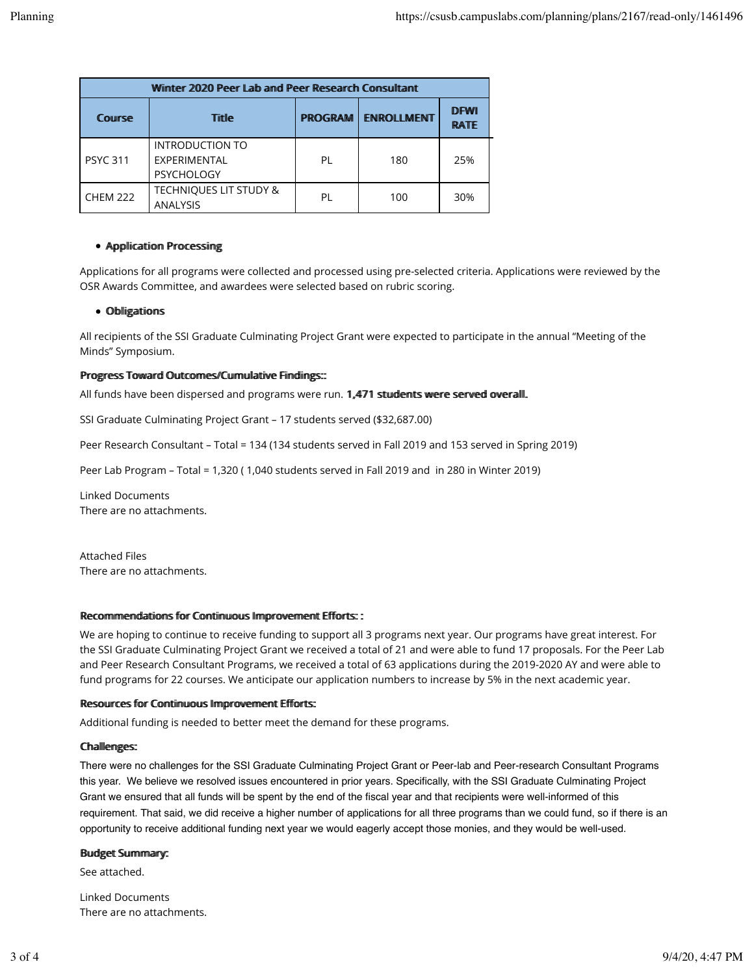| Winter 2020 Peer Lab and Peer Research Consultant |                                                      |                |                   |                            |  |  |
|---------------------------------------------------|------------------------------------------------------|----------------|-------------------|----------------------------|--|--|
| Course                                            | Tiitlle                                              | <b>PROGRAM</b> | <b>ENROLLMENT</b> | <b>DFWI</b><br><b>RATE</b> |  |  |
| <b>PSYC 311</b>                                   | INTRODUCTION TO<br>EXPERIMENTAL<br><b>PSYCHOLOGY</b> | PL             | 180               | 25%                        |  |  |
| <b>CHEM 222</b>                                   | <b>TECHNIQUES LIT STUDY &amp;</b><br>ANALYSIS        | ΡI             | 100               | 30%                        |  |  |

## • Appliication Processing

Applications for all programs were collected and processed using pre-selected criteria. Applications were reviewed by the OSR Awards Committee, and awardees were selected based on rubric scoring.

### • Obligations

All recipients of the SSI Graduate Culminating Project Grant were expected to participate in the annual "Meeting of the Minds" Symposium.

#### Progress Toward Outcomes//Cumullative Findings::

All funds have been dispersed and programs were run. 1,471 students were served overall.

SSI Graduate Culminating Project Grant - 17 students served (\$32,687.00)

Peer Research Consultant - Total = 134 (134 students served in Fall 2019 and 153 served in Spring 2019)

Peer Lab Program - Total = 1,320 (1,040 students served in Fall 2019 and in 280 in Winter 2019)

**Linked Documents** There are no attachments.

**Attached Files** There are no attachments.

#### Recommendations for Continuous Improvement Efforts: :

We are hoping to continue to receive funding to support all 3 programs next year. Our programs have great interest. For the SSI Graduate Culminating Project Grant we received a total of 21 and were able to fund 17 proposals. For the Peer Lab and Peer Research Consultant Programs, we received a total of 63 applications during the 2019-2020 AY and were able to fund programs for 22 courses. We anticipate our application numbers to increase by 5% in the next academic year.

#### Resources for Continuous Improvement Efforts:

Additional funding is needed to better meet the demand for these programs.

#### **Challenges:**

There were no challenges for the SSI Graduate Culminating Project Grant or Peer-lab and Peer-research Consultant Programs this year. We believe we resolved issues encountered in prior years. Specifically, with the SSI Graduate Culminating Project Grant we ensured that all funds will be spent by the end of the fiscal year and that recipients were well-informed of this requirement. That said, we did receive a higher number of applications for all three programs than we could fund, so if there is an opportunity to receive additional funding next year we would eagerly accept those monies, and they would be well-used.

#### **Budget Summary:**

See attached.

**Linked Documents** There are no attachments.